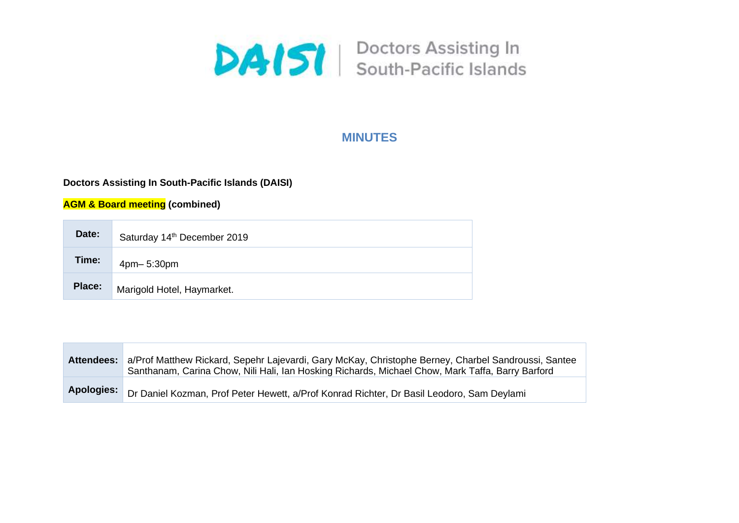

# **MINUTES**

# **Doctors Assisting In South-Pacific Islands (DAISI)**

**AGM & Board meeting (combined)**

| Date:  | Saturday 14th December 2019 |  |
|--------|-----------------------------|--|
| Time:  | 4pm-5:30pm                  |  |
| Place: | Marigold Hotel, Haymarket.  |  |

|            | Attendees: a/Prof Matthew Rickard, Sepehr Lajevardi, Gary McKay, Christophe Berney, Charbel Sandroussi, Santee<br>Santhanam, Carina Chow, Nili Hali, Ian Hosking Richards, Michael Chow, Mark Taffa, Barry Barford |
|------------|--------------------------------------------------------------------------------------------------------------------------------------------------------------------------------------------------------------------|
| Apologies: | Dr Daniel Kozman, Prof Peter Hewett, a/Prof Konrad Richter, Dr Basil Leodoro, Sam Deylami                                                                                                                          |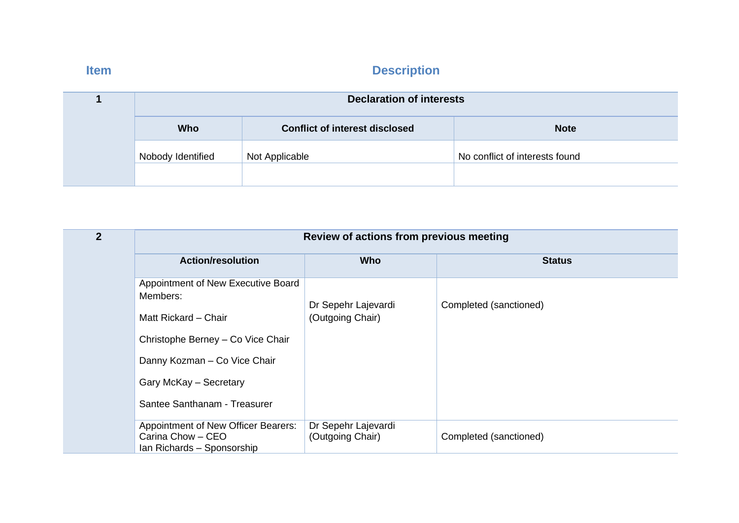| <b>Declaration of interests</b> |                                       |                                |
|---------------------------------|---------------------------------------|--------------------------------|
| Who                             | <b>Conflict of interest disclosed</b> | <b>Note</b>                    |
| Nobody Identified               | Not Applicable                        | No conflict of interests found |

| $\overline{2}$ | Review of actions from previous meeting                                                       |                                         |                        |
|----------------|-----------------------------------------------------------------------------------------------|-----------------------------------------|------------------------|
|                | <b>Action/resolution</b>                                                                      | <b>Who</b>                              | <b>Status</b>          |
|                | Appointment of New Executive Board<br>Members:                                                | Dr Sepehr Lajevardi                     | Completed (sanctioned) |
|                | Matt Rickard – Chair<br>Christophe Berney - Co Vice Chair                                     | (Outgoing Chair)                        |                        |
|                | Danny Kozman - Co Vice Chair                                                                  |                                         |                        |
|                | Gary McKay - Secretary<br>Santee Santhanam - Treasurer                                        |                                         |                        |
|                | <b>Appointment of New Officer Bearers:</b><br>Carina Chow - CEO<br>Ian Richards - Sponsorship | Dr Sepehr Lajevardi<br>(Outgoing Chair) | Completed (sanctioned) |

 $\mathbb{R}^2$ 

# **Item Description**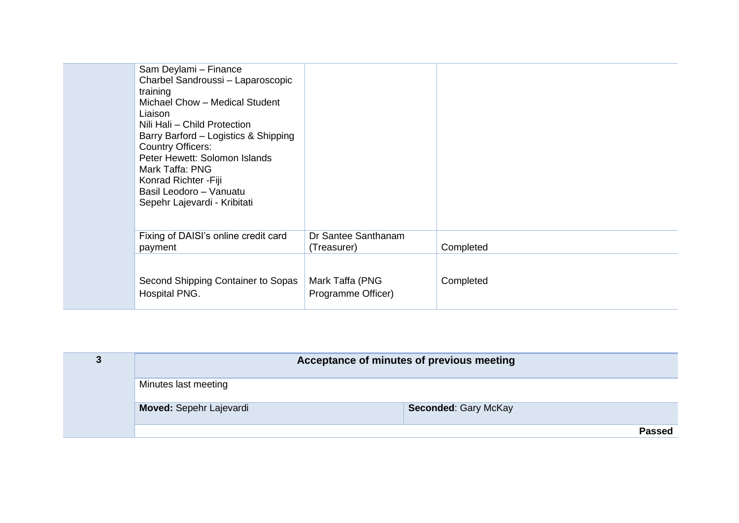| Sam Deylami - Finance<br>Charbel Sandroussi - Laparoscopic<br>training<br>Michael Chow - Medical Student<br>Liaison<br>Nili Hali - Child Protection<br>Barry Barford – Logistics & Shipping<br><b>Country Officers:</b><br>Peter Hewett: Solomon Islands<br>Mark Taffa: PNG<br>Konrad Richter - Fiji<br>Basil Leodoro - Vanuatu<br>Sepehr Lajevardi - Kribitati |                                       |           |
|-----------------------------------------------------------------------------------------------------------------------------------------------------------------------------------------------------------------------------------------------------------------------------------------------------------------------------------------------------------------|---------------------------------------|-----------|
| Fixing of DAISI's online credit card<br>payment                                                                                                                                                                                                                                                                                                                 | Dr Santee Santhanam<br>(Treasurer)    | Completed |
| Second Shipping Container to Sopas<br>Hospital PNG.                                                                                                                                                                                                                                                                                                             | Mark Taffa (PNG<br>Programme Officer) | Completed |

|                         | Acceptance of minutes of previous meeting |
|-------------------------|-------------------------------------------|
| Minutes last meeting    |                                           |
| Moved: Sepehr Lajevardi | <b>Seconded: Gary McKay</b>               |
|                         | Passed                                    |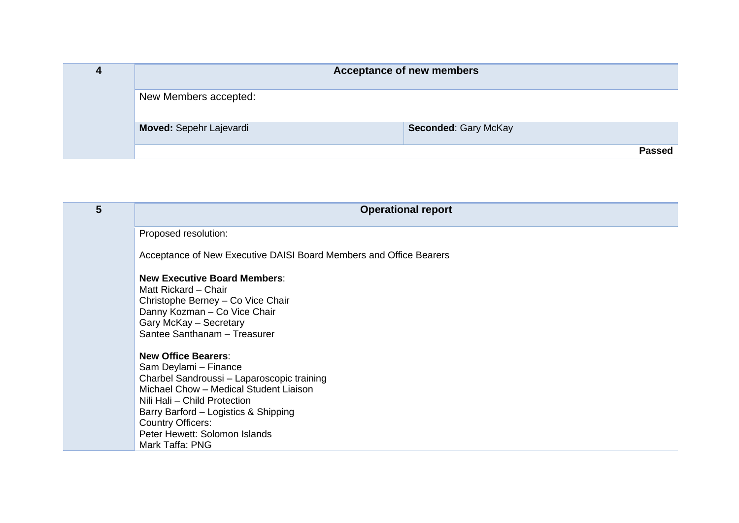| 4 |                         | <b>Acceptance of new members</b> |        |
|---|-------------------------|----------------------------------|--------|
|   | New Members accepted:   |                                  |        |
|   | Moved: Sepehr Lajevardi | Seconded: Gary McKay             |        |
|   |                         |                                  | Passed |

| 5 | <b>Operational report</b>                                                                                                                                                                                                                                                                           |
|---|-----------------------------------------------------------------------------------------------------------------------------------------------------------------------------------------------------------------------------------------------------------------------------------------------------|
|   | Proposed resolution:                                                                                                                                                                                                                                                                                |
|   | Acceptance of New Executive DAISI Board Members and Office Bearers                                                                                                                                                                                                                                  |
|   | <b>New Executive Board Members:</b><br>Matt Rickard – Chair<br>Christophe Berney - Co Vice Chair<br>Danny Kozman - Co Vice Chair<br>Gary McKay - Secretary<br>Santee Santhanam - Treasurer                                                                                                          |
|   | <b>New Office Bearers:</b><br>Sam Deylami - Finance<br>Charbel Sandroussi - Laparoscopic training<br>Michael Chow - Medical Student Liaison<br>Nili Hali - Child Protection<br>Barry Barford - Logistics & Shipping<br><b>Country Officers:</b><br>Peter Hewett: Solomon Islands<br>Mark Taffa: PNG |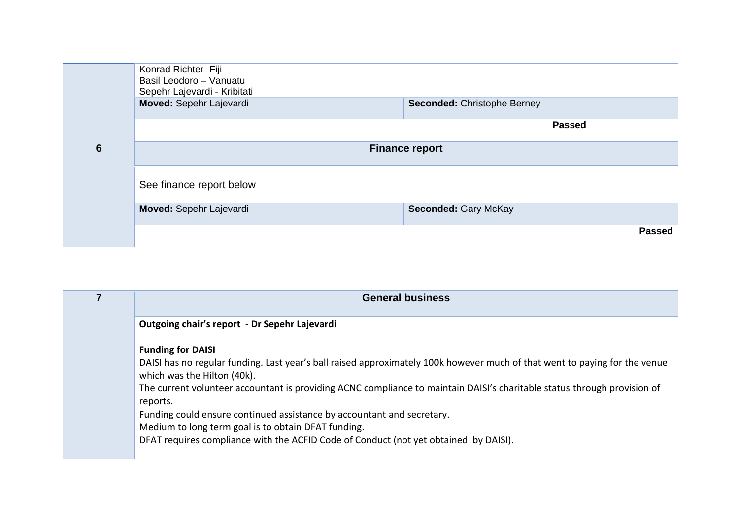| <b>Passed</b> |
|---------------|
|               |

| <b>General business</b>                                                                                                                                                                                                                                                                                                                                                                                                                                        |
|----------------------------------------------------------------------------------------------------------------------------------------------------------------------------------------------------------------------------------------------------------------------------------------------------------------------------------------------------------------------------------------------------------------------------------------------------------------|
| Outgoing chair's report - Dr Sepehr Lajevardi                                                                                                                                                                                                                                                                                                                                                                                                                  |
| <b>Funding for DAISI</b><br>DAISI has no regular funding. Last year's ball raised approximately 100k however much of that went to paying for the venue<br>which was the Hilton (40k).<br>The current volunteer accountant is providing ACNC compliance to maintain DAISI's charitable status through provision of<br>reports.<br>Funding could ensure continued assistance by accountant and secretary.<br>Medium to long term goal is to obtain DFAT funding. |
| DFAT requires compliance with the ACFID Code of Conduct (not yet obtained by DAISI).                                                                                                                                                                                                                                                                                                                                                                           |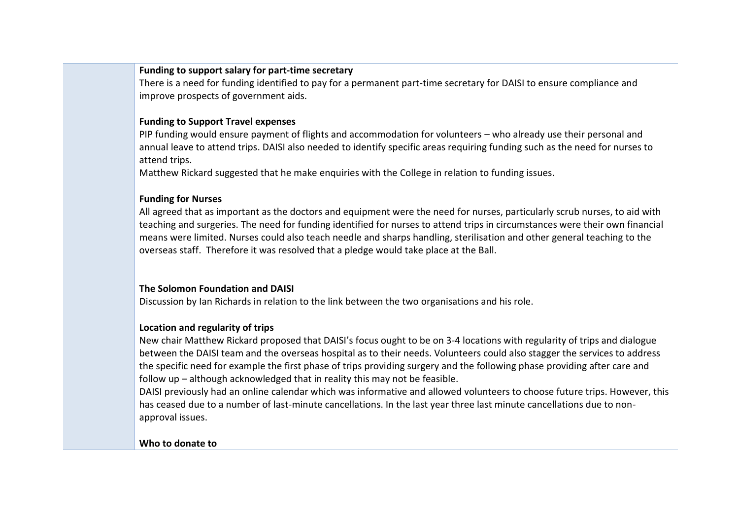# **Funding to support salary for part-time secretary**

There is a need for funding identified to pay for a permanent part-time secretary for DAISI to ensure compliance and improve prospects of government aids.

# **Funding to Support Travel expenses**

PIP funding would ensure payment of flights and accommodation for volunteers – who already use their personal and annual leave to attend trips. DAISI also needed to identify specific areas requiring funding such as the need for nurses to attend trips.

Matthew Rickard suggested that he make enquiries with the College in relation to funding issues.

# **Funding for Nurses**

All agreed that as important as the doctors and equipment were the need for nurses, particularly scrub nurses, to aid with teaching and surgeries. The need for funding identified for nurses to attend trips in circumstances were their own financial means were limited. Nurses could also teach needle and sharps handling, sterilisation and other general teaching to the overseas staff. Therefore it was resolved that a pledge would take place at the Ball.

# **The Solomon Foundation and DAISI**

Discussion by Ian Richards in relation to the link between the two organisations and his role.

# **Location and regularity of trips**

New chair Matthew Rickard proposed that DAISI's focus ought to be on 3-4 locations with regularity of trips and dialogue between the DAISI team and the overseas hospital as to their needs. Volunteers could also stagger the services to address the specific need for example the first phase of trips providing surgery and the following phase providing after care and follow up – although acknowledged that in reality this may not be feasible.

DAISI previously had an online calendar which was informative and allowed volunteers to choose future trips. However, this has ceased due to a number of last-minute cancellations. In the last year three last minute cancellations due to nonapproval issues.

# **Who to donate to**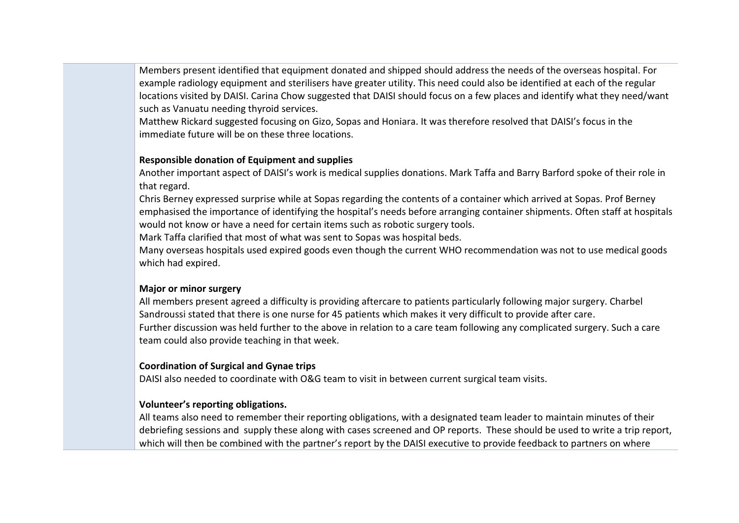Members present identified that equipment donated and shipped should address the needs of the overseas hospital. For example radiology equipment and sterilisers have greater utility. This need could also be identified at each of the regular locations visited by DAISI. Carina Chow suggested that DAISI should focus on a few places and identify what they need/want such as Vanuatu needing thyroid services.

Matthew Rickard suggested focusing on Gizo, Sopas and Honiara. It was therefore resolved that DAISI's focus in the immediate future will be on these three locations.

# **Responsible donation of Equipment and supplies**

Another important aspect of DAISI's work is medical supplies donations. Mark Taffa and Barry Barford spoke of their role in that regard.

Chris Berney expressed surprise while at Sopas regarding the contents of a container which arrived at Sopas. Prof Berney emphasised the importance of identifying the hospital's needs before arranging container shipments. Often staff at hospitals would not know or have a need for certain items such as robotic surgery tools.

Mark Taffa clarified that most of what was sent to Sopas was hospital beds.

Many overseas hospitals used expired goods even though the current WHO recommendation was not to use medical goods which had expired.

# **Major or minor surgery**

All members present agreed a difficulty is providing aftercare to patients particularly following major surgery. Charbel Sandroussi stated that there is one nurse for 45 patients which makes it very difficult to provide after care. Further discussion was held further to the above in relation to a care team following any complicated surgery. Such a care team could also provide teaching in that week.

# **Coordination of Surgical and Gynae trips**

DAISI also needed to coordinate with O&G team to visit in between current surgical team visits.

# **Volunteer's reporting obligations.**

All teams also need to remember their reporting obligations, with a designated team leader to maintain minutes of their debriefing sessions and supply these along with cases screened and OP reports. These should be used to write a trip report, which will then be combined with the partner's report by the DAISI executive to provide feedback to partners on where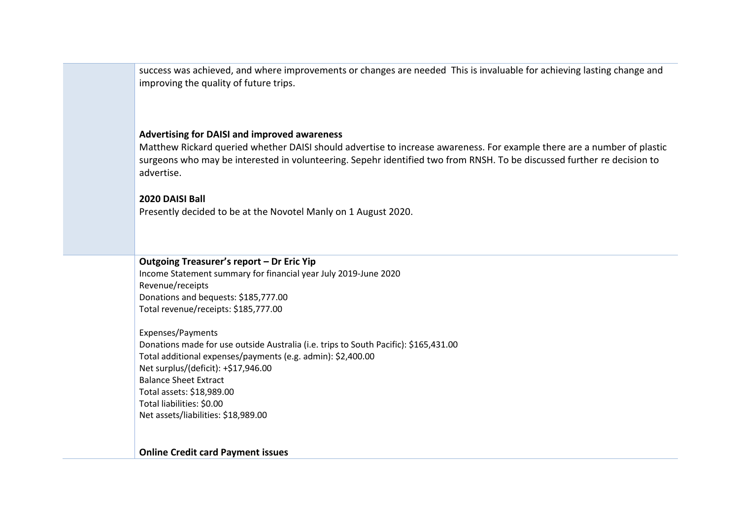success was achieved, and where improvements or changes are needed This is invaluable for achieving lasting change and improving the quality of future trips.

### **Advertising for DAISI and improved awareness**

Matthew Rickard queried whether DAISI should advertise to increase awareness. For example there are a number of plastic surgeons who may be interested in volunteering. Sepehr identified two from RNSH. To be discussed further re decision to advertise.

#### **2020 DAISI Ball**

Presently decided to be at the Novotel Manly on 1 August 2020.

# **Outgoing Treasurer's report – Dr Eric Yip**

Income Statement summary for financial year July 2019-June 2020 Revenue/receipts Donations and bequests: \$185,777.00 Total revenue/receipts: \$185,777.00

Expenses/Payments Donations made for use outside Australia (i.e. trips to South Pacific): \$165,431.00 Total additional expenses/payments (e.g. admin): \$2,400.00 Net surplus/(deficit): +\$17,946.00 Balance Sheet Extract Total assets: \$18,989.00 Total liabilities: \$0.00 Net assets/liabilities: \$18,989.00

#### **Online Credit card Payment issues**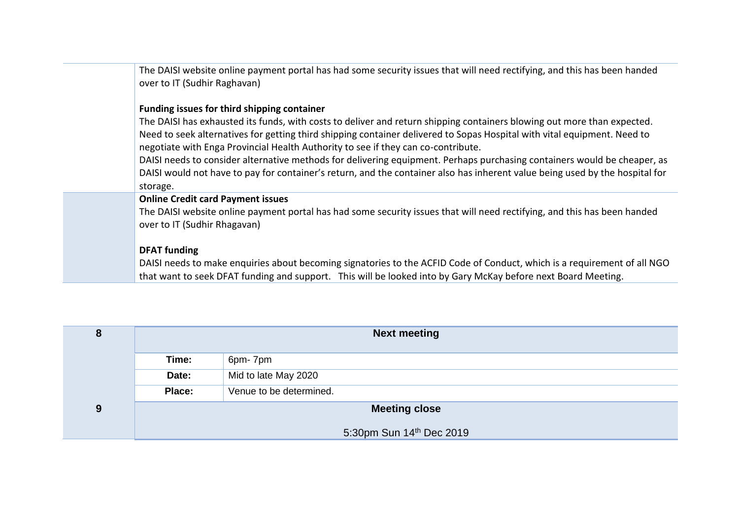| The DAISI website online payment portal has had some security issues that will need rectifying, and this has been handed<br>over to IT (Sudhir Raghavan)                                                                                                                                                                                                                                                                                                                                                                                                                                                                                            |
|-----------------------------------------------------------------------------------------------------------------------------------------------------------------------------------------------------------------------------------------------------------------------------------------------------------------------------------------------------------------------------------------------------------------------------------------------------------------------------------------------------------------------------------------------------------------------------------------------------------------------------------------------------|
| Funding issues for third shipping container<br>The DAISI has exhausted its funds, with costs to deliver and return shipping containers blowing out more than expected.<br>Need to seek alternatives for getting third shipping container delivered to Sopas Hospital with vital equipment. Need to<br>negotiate with Enga Provincial Health Authority to see if they can co-contribute.<br>DAISI needs to consider alternative methods for delivering equipment. Perhaps purchasing containers would be cheaper, as<br>DAISI would not have to pay for container's return, and the container also has inherent value being used by the hospital for |
| storage.<br><b>Online Credit card Payment issues</b>                                                                                                                                                                                                                                                                                                                                                                                                                                                                                                                                                                                                |
| The DAISI website online payment portal has had some security issues that will need rectifying, and this has been handed<br>over to IT (Sudhir Rhagavan)                                                                                                                                                                                                                                                                                                                                                                                                                                                                                            |
| <b>DFAT</b> funding<br>DAISI needs to make enquiries about becoming signatories to the ACFID Code of Conduct, which is a requirement of all NGO<br>that want to seek DFAT funding and support. This will be looked into by Gary McKay before next Board Meeting.                                                                                                                                                                                                                                                                                                                                                                                    |

| 8 | <b>Next meeting</b>  |                          |
|---|----------------------|--------------------------|
|   | Time:                | 6pm-7pm                  |
|   | Date:                | Mid to late May 2020     |
|   | Place:               | Venue to be determined.  |
| 9 | <b>Meeting close</b> |                          |
|   |                      | 5:30pm Sun 14th Dec 2019 |